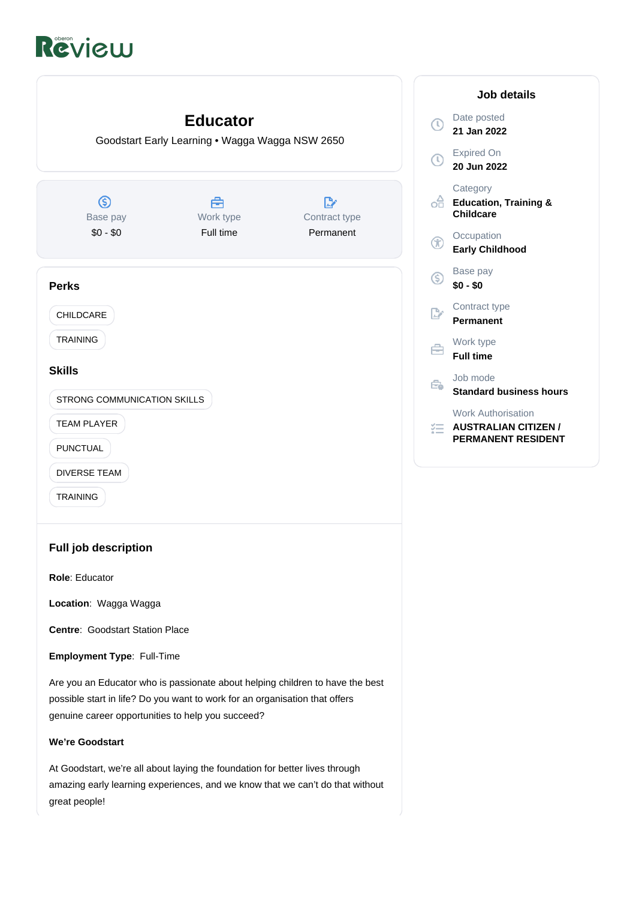# Review



At Goodstart, we're all about laying the foundation for better lives through amazing early learning experiences, and we know that we can't do that without great people!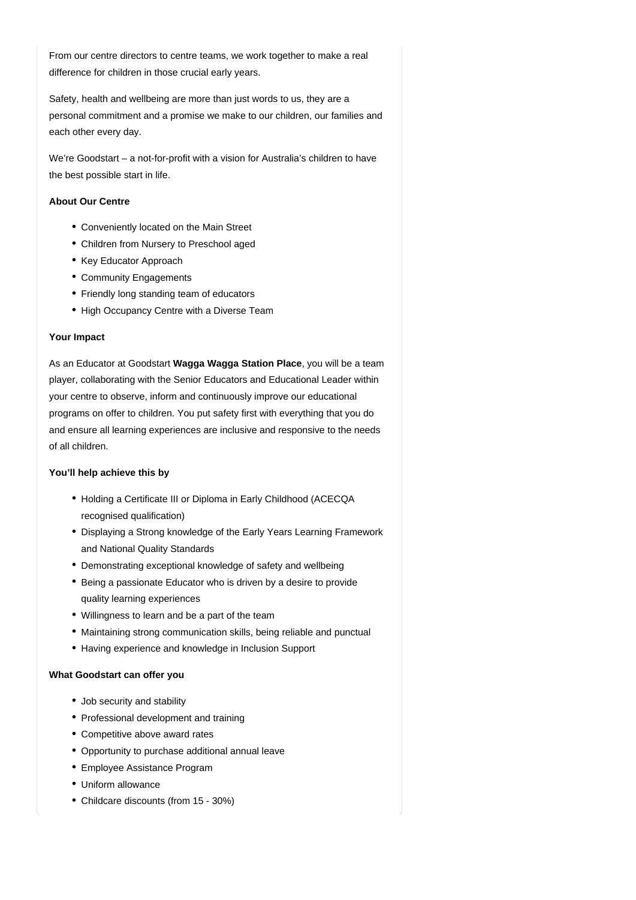From our centre directors to centre teams, we work together to make a real difference for children in those crucial early years.

Safety, health and wellbeing are more than just words to us, they are a personal commitment and a promise we make to our children, our families and each other every day.

We're Goodstart – a not-for-profit with a vision for Australia's children to have the best possible start in life.

## **About Our Centre**

- Conveniently located on the Main Street
- Children from Nursery to Preschool aged
- Key Educator Approach
- Community Engagements
- Friendly long standing team of educators
- High Occupancy Centre with a Diverse Team

#### **Your Impact**

As an Educator at Goodstart Wagga Wagga Station Place, you will be a team player, collaborating with the Senior Educators and Educational Leader within your centre to observe, inform and continuously improve our educational programs on offer to children. You put safety first with everything that you do and ensure all learning experiences are inclusive and responsive to the needs of all children.

#### **You'll help achieve this by**

- Holding a Certificate III or Diploma in Early Childhood (ACECQA recognised qualification)
- Displaying a Strong knowledge of the Early Years Learning Framework and National Quality Standards
- Demonstrating exceptional knowledge of safety and wellbeing
- Being a passionate Educator who is driven by a desire to provide quality learning experiences
- Willingness to learn and be a part of the team
- Maintaining strong communication skills, being reliable and punctual
- Having experience and knowledge in Inclusion Support

# **What Goodstart can offer you**

- Job security and stability
- Professional development and training
- Competitive above award rates
- Opportunity to purchase additional annual leave
- Employee Assistance Program
- Uniform allowance
- Childcare discounts (from 15 30%)